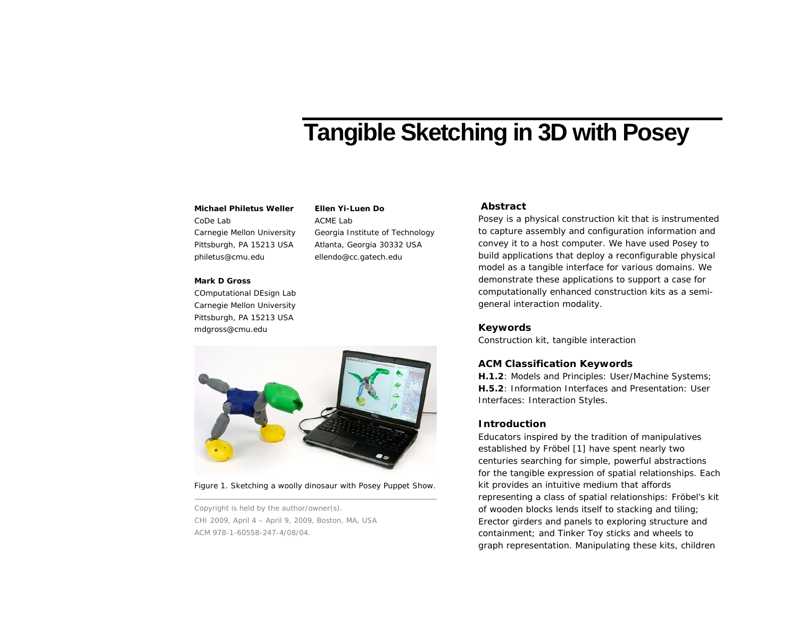# **Tangible Sketching in 3D with Posey**

# Michael Philetus Weller Ellen Yi-Luen Do **Abstract**

CoDe Lab Carnegie Mellon University Pittsburgh, PA 15213 USA philetus@cmu.edu

#### **Mark D Gross**

COmputational DEsign Lab Carnegie Mellon University Pittsburgh, PA 15213 USA mdgross@cmu.edu



**Ellen Yi-Luen Do** ACME Lab

Georgia Institute of Technology Atlanta, Georgia 30332 USA ellendo@cc.gatech.edu

<span id="page-0-0"></span>Figure 1. Sketching a woolly dinosaur with Posey Puppet Show.

Copyright is held by the author/owner(s). CHI 2009, April 4 – April 9, 2009, Boston, MA, USA ACM 978-1-60558-247-4/08/04.

Posey is a physical construction kit that is instrumented to capture assembly and configuration information and convey it to a host computer. We have used Posey to build applications that deploy a reconfigurable physical model as a tangible interface for various domains. We demonstrate these applications to support a case for computationally enhanced construction kits as a semigeneral interaction modality.

#### **Keywords**

Construction kit, tangible interaction

### **ACM Classification Keywords**

**H.1.2**: Models and Principles: User/Machine Systems; **H.5.2**: Information Interfaces and Presentation: User Interfaces: Interaction Styles.

# **Introduction**

Educators inspired by the tradition of *manipulatives* established by Fröbel [1] have spent nearly two centuries searching for simple, powerful abstractions for the tangible expression of spatial relationships. Each kit provides an intuitive medium that affords representing a class of spatial relationships: Fröbel's kit of wooden blocks lends itself to stacking and tiling; Erector girders and panels to exploring structure and containment; and Tinker Toy sticks and wheels to graph representation. Manipulating these kits, children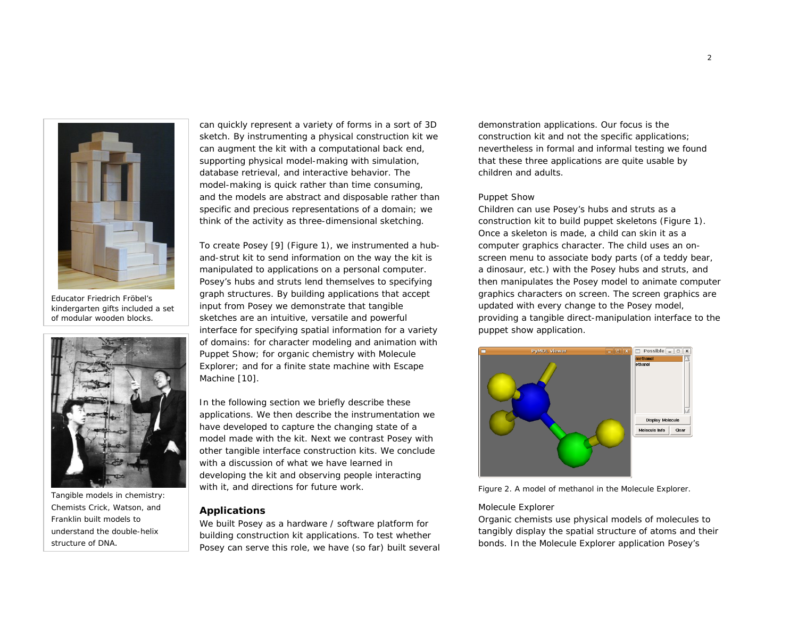

Educator Friedrich Fröbel's kindergarten gifts included a set of modular wooden blocks.



Tangible models in chemistry: Chemists Crick, Watson, and Franklin built models to understand the double-helix structure of DNA.

can quickly represent a variety of forms in a sort of 3D sketch. By instrumenting a physical construction kit we can augment the kit with a computational back end, supporting physical model-making with simulation, database retrieval, and interactive behavior. The model-making is quick rather than time consuming, and the models are abstract and disposable rather than specific and precious representations of a domain; we think of the activity as three-dimensional sketching.

To create Posey [9] ([Figure 1\)](#page-0-0), we instrumented a huband-strut kit to send information on the way the kit is manipulated to applications on a personal computer. Posey's hubs and struts lend themselves to specifying graph structures. By building applications that accept input from Posey we demonstrate that tangible sketches are an intuitive, versatile and powerful interface for specifying spatial information for a variety of domains: for character modeling and animation with Puppet Show; for organic chemistry with Molecule Explorer; and for a finite state machine with Escape Machine [10].

In the following section we briefly describe these applications. We then describe the instrumentation we have developed to capture the changing state of a model made with the kit. Next we contrast Posey with other tangible interface construction kits. We conclude with a discussion of what we have learned in developing the kit and observing people interacting with it, and directions for future work.

# **Applications**

We built Posey as a hardware / software platform for building construction kit applications. To test whether Posey can serve this role, we have (so far) built several demonstration applications. Our focus is the construction kit and not the specific applications; nevertheless in formal and informal testing we found that these three applications are quite usable by children and adults.

### *Puppet Show*

Children can use Posey's hubs and struts as a construction kit to build puppet skeletons (Figure 1). Once a skeleton is made, a child can skin it as a computer graphics character. The child uses an onscreen menu to associate body parts (of a teddy bear, a dinosaur, etc.) with the Posey hubs and struts, and then manipulates the Posey model to animate computer graphics characters on screen. The screen graphics are updated with every change to the Posey model, providing a tangible direct-manipulation interface to the puppet show application.



Figure 2. A model of methanol in the Molecule Explorer.

#### *Molecule Explorer*

Organic chemists use physical models of molecules to tangibly display the spatial structure of atoms and their bonds. In the Molecule Explorer application Posey's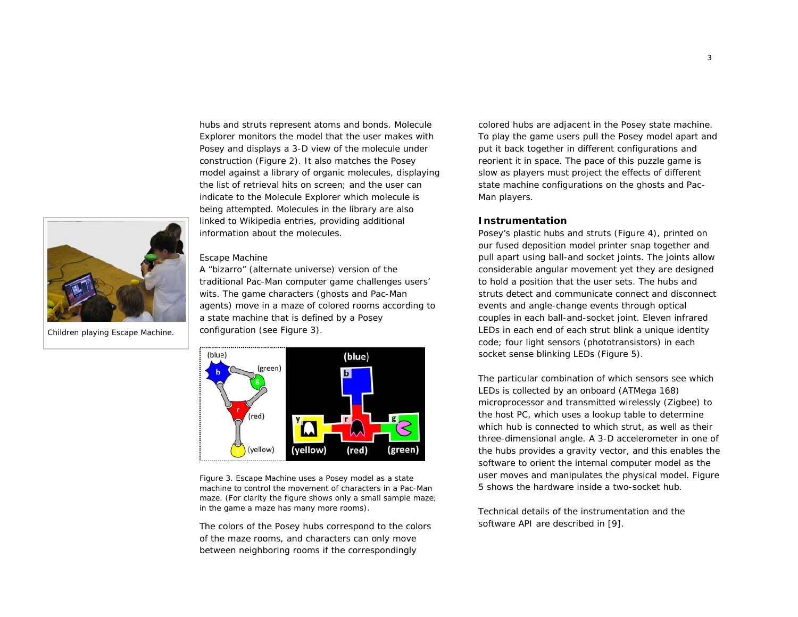

Children playing Escape Machine.

hubs and struts represent atoms and bonds. Molecule Explorer monitors the model that the user makes with Posey and displays a 3-D view of the molecule under construction (Figure 2). It also matches the Posey model against a library of organic molecules, displaying the list of retrieval hits on screen; and the user can indicate to the Molecule Explorer which molecule is being attempted. Molecules in the library are also linked to Wikipedia entries, providing additional information about the molecules.

#### *Escape Machine*

A "bizarro" (alternate universe) version of the traditional Pac-Man computer game challenges users' wits. The game characters (ghosts and Pac-Man agents) move in a maze of colored rooms according to a state machine that is defined by a Posey configuration (see Figure 3).



Figure 3. Escape Machine uses a Posey model as a state machine to control the movement of characters in a Pac-Man maze. (For clarity the figure shows only a small sample maze; in the game a maze has many more rooms).

The colors of the Posey hubs correspond to the colors of the maze rooms, and characters can only move between neighboring rooms if the correspondingly

colored hubs are adjacent in the Posey state machine. To play the game users pull the Posey model apart and put it back together in different configurations and reorient it in space. The pace of this puzzle game is slow as players must project the effects of different state machine configurations on the ghosts and Pac-Man players.

# **Instrumentation**

Posey's plastic hubs and struts (Figure 4), printed on our fused deposition model printer snap together and pull apart using ball-and socket joints. The joints allow considerable angular movement yet they are designed to hold a position that the user sets. The hubs and struts detect and communicate connect and disconnect events and angle-change events through optical couples in each ball-and-socket joint. Eleven infrared LEDs in each end of each strut blink a unique identity code; four light sensors (phototransistors) in each socket sense blinking LEDs (Figure 5).

The particular combination of which sensors see which LEDs is collected by an onboard (ATMega 168) microprocessor and transmitted wirelessly (Zigbee) to the host PC, which uses a lookup table to determine which hub is connected to which strut, as well as their three-dimensional angle. A 3-D accelerometer in one of the hubs provides a gravity vector, and this enables the software to orient the internal computer model as the user moves and manipulates the physical model. Figure 5 shows the hardware inside a two-socket hub.

Technical details of the instrumentation and the software API are described in [9].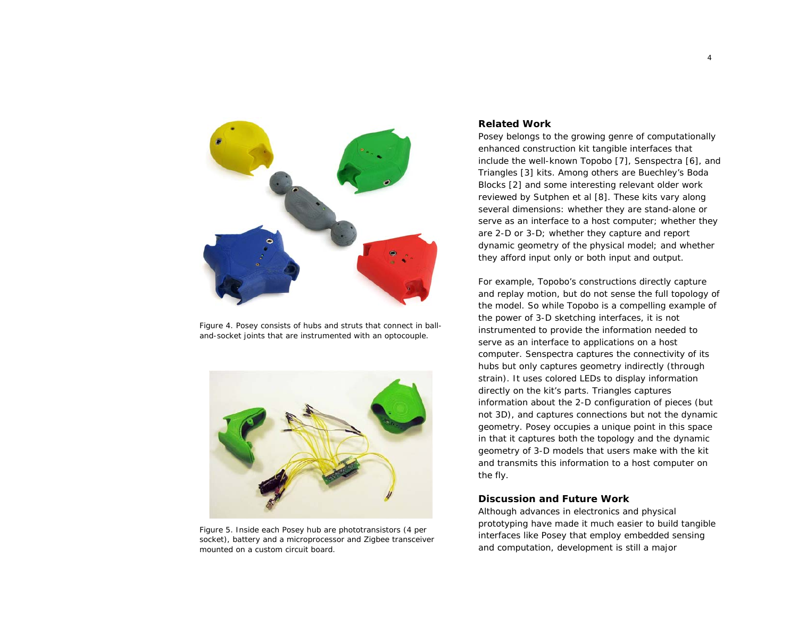

Figure 4. Posey consists of hubs and struts that connect in balland-socket joints that are instrumented with an optocouple.



Figure 5. Inside each Posey hub are phototransistors (4 per socket), battery and a microprocessor and Zigbee transceiver mounted on a custom circuit board.

# **Related Work**

Posey belongs to the growing genre of computationally enhanced construction kit tangible interfaces that include the well-known Topobo [7], Senspectra [6], and Triangles [3] kits. Among others are Buechley's Boda Blocks [2] and some interesting relevant older work reviewed by Sutphen et al [8]. These kits vary along several dimensions: whether they are stand-alone or serve as an interface to a host computer; whether they are 2-D or 3-D; whether they capture and report dynamic geometry of the physical model; and whether they afford input only or both input and output.

For example, Topobo's constructions directly capture and replay motion, but do not sense the full topology of the model. So while Topobo is a compelling example of the power of 3-D sketching interfaces, it is not instrumented to provide the information needed to serve as an interface to applications on a host computer. Senspectra captures the connectivity of its hubs but only captures geometry indirectly (through strain). It uses colored LEDs to display information directly on the kit's parts. Triangles captures information about the 2-D configuration of pieces (but not 3D), and captures connections but not the dynamic geometry. Posey occupies a unique point in this space in that it captures both the topology and the dynamic geometry of 3-D models that users make with the kit and transmits this information to a host computer on the fly.

# **Discussion and Future Work**

Although advances in electronics and physical prototyping have made it much easier to build tangible interfaces like Posey that employ embedded sensing and computation, development is still a major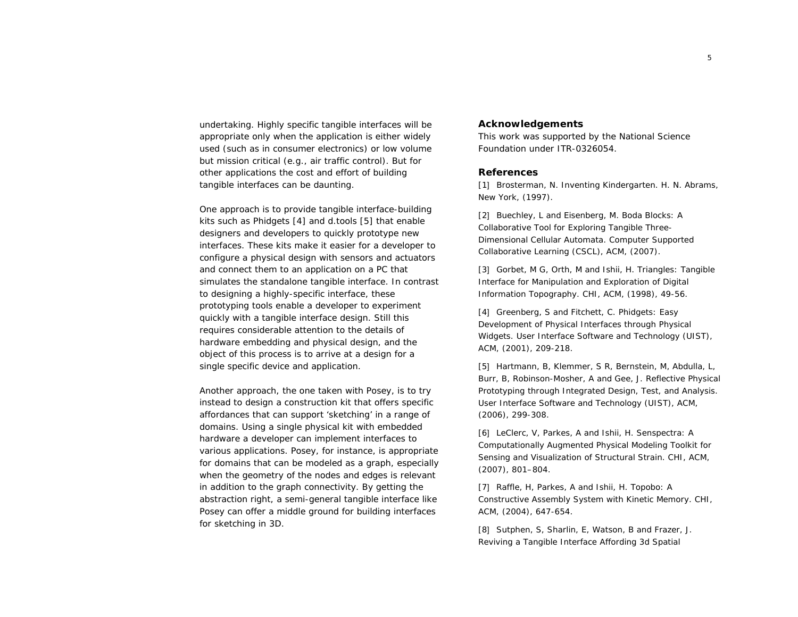undertaking. Highly specific tangible interfaces will be appropriate only when the application is either widely used (such as in consumer electronics) or low volume but mission critical (e.g., air traffic control). But for other applications the cost and effort of building tangible interfaces can be daunting.

One approach is to provide tangible interface-building kits such as Phidgets [4] and d.tools [5] that enable designers and developers to quickly prototype new interfaces. These kits make it easier for a developer to configure a physical design with sensors and actuators and connect them to an application on a PC that simulates the standalone tangible interface. In contrast to designing a highly-specific interface, these prototyping tools enable a developer to experiment quickly with a tangible interface design. Still this requires considerable attention to the details of hardware embedding and physical design, and the object of this process is to arrive at a design for a single specific device and application.

Another approach, the one taken with Posey, is to try instead to design a construction kit that offers specific affordances that can support 'sketching' in a range of domains. Using a single physical kit with embedded hardware a developer can implement interfaces to various applications. Posey, for instance, is appropriate for domains that can be modeled as a graph, especially when the geometry of the nodes and edges is relevant in addition to the graph connectivity. By getting the abstraction right, a *semi-general tangible interface* like Posey can offer a middle ground for building interfaces for sketching in 3D.

#### **Acknowledgements**

This work was supported by the National Science Foundation under ITR-0326054.

#### **References**

[1] Brosterman, N. *Inventing Kindergarten*. H. N. Abrams, New York, (1997).

[2] Buechley, L and Eisenberg, M. Boda Blocks: A Collaborative Tool for Exploring Tangible Three-Dimensional Cellular Automata. *Computer Supported Collaborative Learning (CSCL)*, ACM, (2007).

[3] Gorbet, M G, Orth, M and Ishii, H. Triangles: Tangible Interface for Manipulation and Exploration of Digital Information Topography. *CHI*, ACM, (1998), 49-56.

[4] Greenberg, S and Fitchett, C. Phidgets: Easy Development of Physical Interfaces through Physical Widgets. *User Interface Software and Technology (UIST)*, ACM, (2001), 209-218.

[5] Hartmann, B, Klemmer, S R, Bernstein, M, Abdulla, L, Burr, B, Robinson-Mosher, A and Gee, J. Reflective Physical Prototyping through Integrated Design, Test, and Analysis. *User Interface Software and Technology (UIST)*, ACM, (2006), 299-308.

[6] LeClerc, V, Parkes, A and Ishii, H. Senspectra: A Computationally Augmented Physical Modeling Toolkit for Sensing and Visualization of Structural Strain. *CHI*, ACM, (2007), 801–804.

[7] Raffle, H, Parkes, A and Ishii, H. Topobo: A Constructive Assembly System with Kinetic Memory. *CHI*, ACM, (2004), 647-654.

[8] Sutphen, S, Sharlin, E, Watson, B and Frazer, J. Reviving a Tangible Interface Affording 3d Spatial